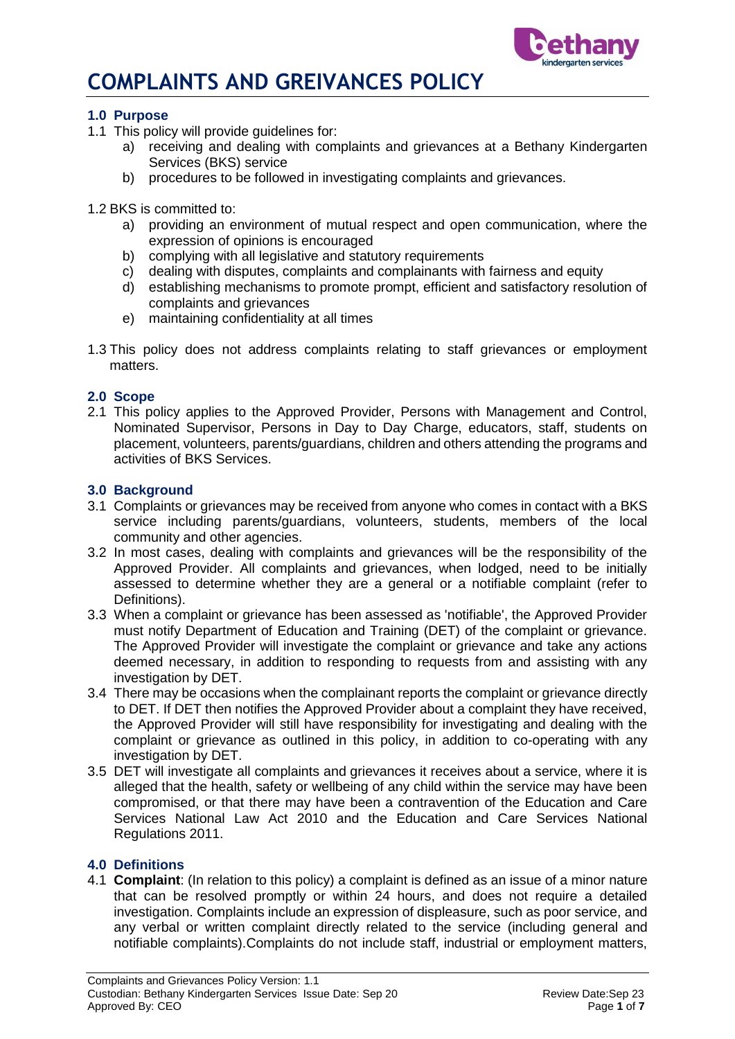

## **1.0 Purpose**

- 1.1 This policy will provide guidelines for:
	- a) receiving and dealing with complaints and grievances at a Bethany Kindergarten Services (BKS) service
	- b) procedures to be followed in investigating complaints and grievances.
- 1.2 BKS is committed to:
	- a) providing an environment of mutual respect and open communication, where the expression of opinions is encouraged
	- b) complying with all legislative and statutory requirements
	- c) dealing with disputes, complaints and complainants with fairness and equity
	- d) establishing mechanisms to promote prompt, efficient and satisfactory resolution of complaints and grievances
	- e) maintaining confidentiality at all times
- 1.3 This policy does not address complaints relating to staff grievances or employment matters.

#### **2.0 Scope**

2.1 This policy applies to the Approved Provider, Persons with Management and Control, Nominated Supervisor, Persons in Day to Day Charge, educators, staff, students on placement, volunteers, parents/guardians, children and others attending the programs and activities of BKS Services.

### **3.0 Background**

- 3.1 Complaints or grievances may be received from anyone who comes in contact with a BKS service including parents/guardians, volunteers, students, members of the local community and other agencies.
- 3.2 In most cases, dealing with complaints and grievances will be the responsibility of the Approved Provider. All complaints and grievances, when lodged, need to be initially assessed to determine whether they are a general or a notifiable complaint (refer to Definitions).
- 3.3 When a complaint or grievance has been assessed as 'notifiable', the Approved Provider must notify Department of Education and Training (DET) of the complaint or grievance. The Approved Provider will investigate the complaint or grievance and take any actions deemed necessary, in addition to responding to requests from and assisting with any investigation by DET.
- 3.4 There may be occasions when the complainant reports the complaint or grievance directly to DET. If DET then notifies the Approved Provider about a complaint they have received, the Approved Provider will still have responsibility for investigating and dealing with the complaint or grievance as outlined in this policy, in addition to co-operating with any investigation by DET.
- 3.5 DET will investigate all complaints and grievances it receives about a service, where it is alleged that the health, safety or wellbeing of any child within the service may have been compromised, or that there may have been a contravention of the Education and Care Services National Law Act 2010 and the Education and Care Services National Regulations 2011.

#### **4.0 Definitions**

4.1 **Complaint**: (In relation to this policy) a complaint is defined as an issue of a minor nature that can be resolved promptly or within 24 hours, and does not require a detailed investigation. Complaints include an expression of displeasure, such as poor service, and any verbal or written complaint directly related to the service (including general and notifiable complaints).Complaints do not include staff, industrial or employment matters,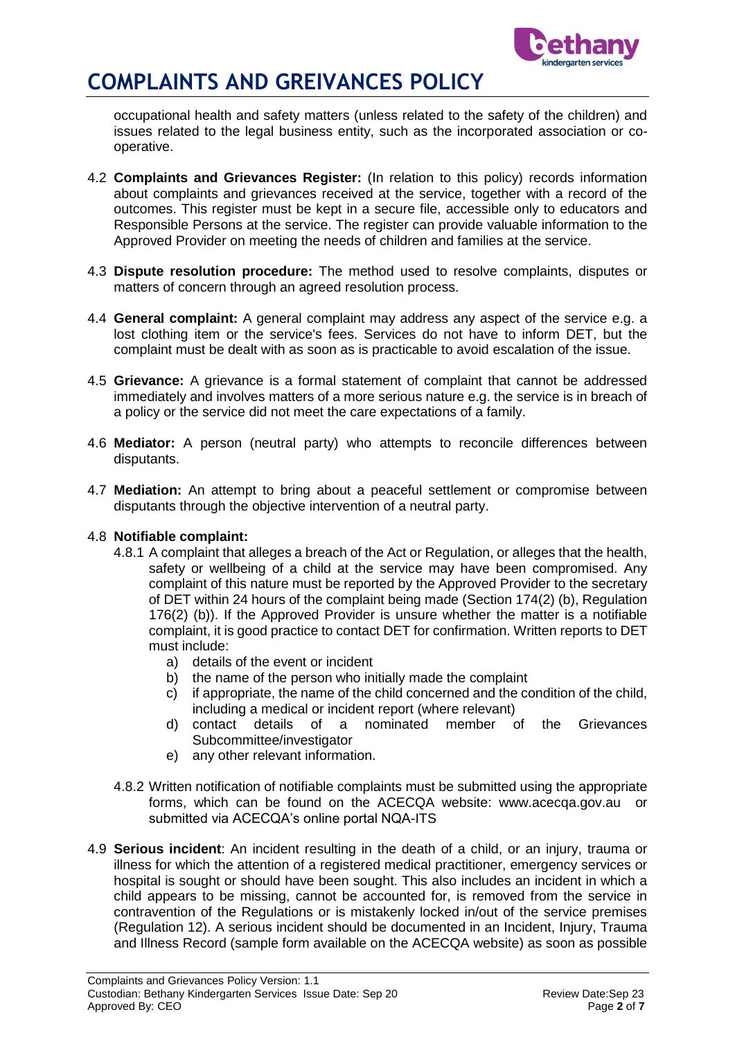

occupational health and safety matters (unless related to the safety of the children) and issues related to the legal business entity, such as the incorporated association or cooperative.

- 4.2 **Complaints and Grievances Register:** (In relation to this policy) records information about complaints and grievances received at the service, together with a record of the outcomes. This register must be kept in a secure file, accessible only to educators and Responsible Persons at the service. The register can provide valuable information to the Approved Provider on meeting the needs of children and families at the service.
- 4.3 **Dispute resolution procedure:** The method used to resolve complaints, disputes or matters of concern through an agreed resolution process.
- 4.4 **General complaint:** A general complaint may address any aspect of the service e.g. a lost clothing item or the service's fees. Services do not have to inform DET, but the complaint must be dealt with as soon as is practicable to avoid escalation of the issue.
- 4.5 **Grievance:** A grievance is a formal statement of complaint that cannot be addressed immediately and involves matters of a more serious nature e.g. the service is in breach of a policy or the service did not meet the care expectations of a family.
- 4.6 **Mediator:** A person (neutral party) who attempts to reconcile differences between disputants.
- 4.7 **Mediation:** An attempt to bring about a peaceful settlement or compromise between disputants through the objective intervention of a neutral party.

#### 4.8 **Notifiable complaint:**

- 4.8.1 A complaint that alleges a breach of the Act or Regulation, or alleges that the health, safety or wellbeing of a child at the service may have been compromised. Any complaint of this nature must be reported by the Approved Provider to the secretary of DET within 24 hours of the complaint being made (Section 174(2) (b), Regulation 176(2) (b)). If the Approved Provider is unsure whether the matter is a notifiable complaint, it is good practice to contact DET for confirmation. Written reports to DET must include:
	- a) details of the event or incident
	- b) the name of the person who initially made the complaint
	- c) if appropriate, the name of the child concerned and the condition of the child, including a medical or incident report (where relevant)
	- d) contact details of a nominated member of the Grievances Subcommittee/investigator
	- e) any other relevant information.
- 4.8.2 Written notification of notifiable complaints must be submitted using the appropriate forms, which can be found on the ACECQA website: www.acecqa.gov.au or submitted via ACECQA's online portal NQA-ITS
- 4.9 **Serious incident**: An incident resulting in the death of a child, or an injury, trauma or illness for which the attention of a registered medical practitioner, emergency services or hospital is sought or should have been sought. This also includes an incident in which a child appears to be missing, cannot be accounted for, is removed from the service in contravention of the Regulations or is mistakenly locked in/out of the service premises (Regulation 12). A serious incident should be documented in an Incident, Injury, Trauma and Illness Record (sample form available on the ACECQA website) as soon as possible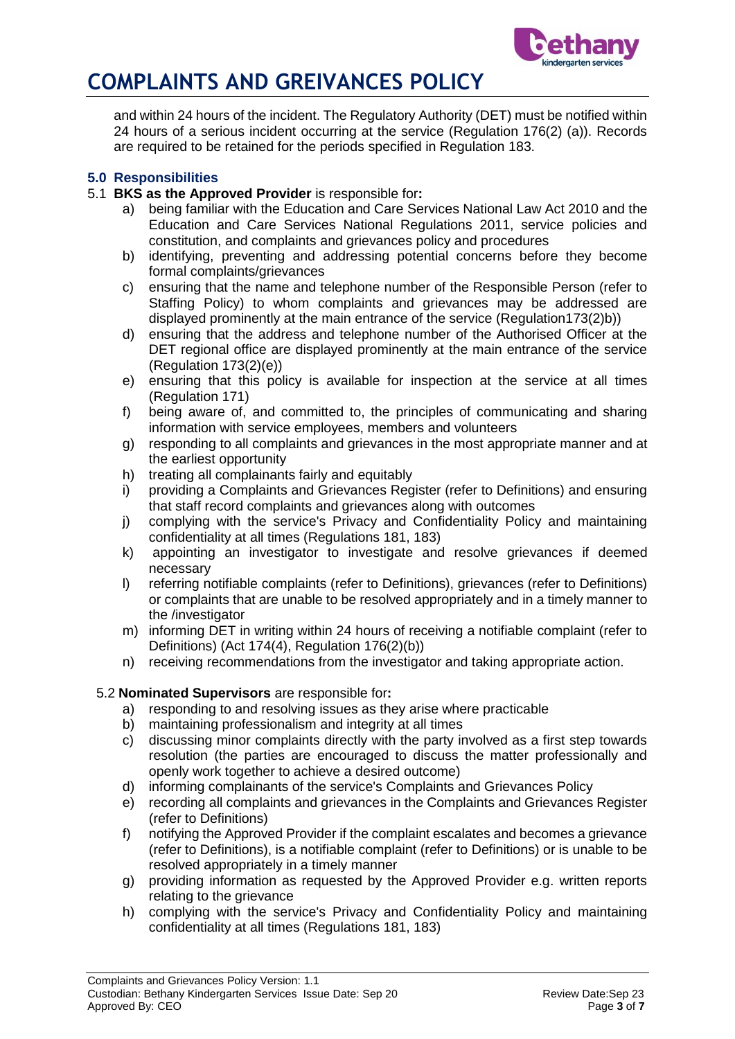

and within 24 hours of the incident. The Regulatory Authority (DET) must be notified within 24 hours of a serious incident occurring at the service (Regulation 176(2) (a)). Records are required to be retained for the periods specified in Regulation 183.

## **5.0 Responsibilities**

- 5.1 **BKS as the Approved Provider** is responsible for**:**
	- a) being familiar with the Education and Care Services National Law Act 2010 and the Education and Care Services National Regulations 2011, service policies and constitution, and complaints and grievances policy and procedures
	- b) identifying, preventing and addressing potential concerns before they become formal complaints/grievances
	- c) ensuring that the name and telephone number of the Responsible Person (refer to Staffing Policy) to whom complaints and grievances may be addressed are displayed prominently at the main entrance of the service (Regulation173(2)b))
	- d) ensuring that the address and telephone number of the Authorised Officer at the DET regional office are displayed prominently at the main entrance of the service (Regulation 173(2)(e))
	- e) ensuring that this policy is available for inspection at the service at all times (Regulation 171)
	- f) being aware of, and committed to, the principles of communicating and sharing information with service employees, members and volunteers
	- g) responding to all complaints and grievances in the most appropriate manner and at the earliest opportunity
	- h) treating all complainants fairly and equitably
	- i) providing a Complaints and Grievances Register (refer to Definitions) and ensuring that staff record complaints and grievances along with outcomes
	- j) complying with the service's Privacy and Confidentiality Policy and maintaining confidentiality at all times (Regulations 181, 183)
	- k) appointing an investigator to investigate and resolve grievances if deemed necessary
	- l) referring notifiable complaints (refer to Definitions), grievances (refer to Definitions) or complaints that are unable to be resolved appropriately and in a timely manner to the /investigator
	- m) informing DET in writing within 24 hours of receiving a notifiable complaint (refer to Definitions) (Act 174(4), Regulation 176(2)(b))
	- n) receiving recommendations from the investigator and taking appropriate action.

## 5.2 **Nominated Supervisors** are responsible for**:**

- a) responding to and resolving issues as they arise where practicable
- b) maintaining professionalism and integrity at all times
- c) discussing minor complaints directly with the party involved as a first step towards resolution (the parties are encouraged to discuss the matter professionally and openly work together to achieve a desired outcome)
- d) informing complainants of the service's Complaints and Grievances Policy
- e) recording all complaints and grievances in the Complaints and Grievances Register (refer to Definitions)
- f) notifying the Approved Provider if the complaint escalates and becomes a grievance (refer to Definitions), is a notifiable complaint (refer to Definitions) or is unable to be resolved appropriately in a timely manner
- g) providing information as requested by the Approved Provider e.g. written reports relating to the grievance
- h) complying with the service's Privacy and Confidentiality Policy and maintaining confidentiality at all times (Regulations 181, 183)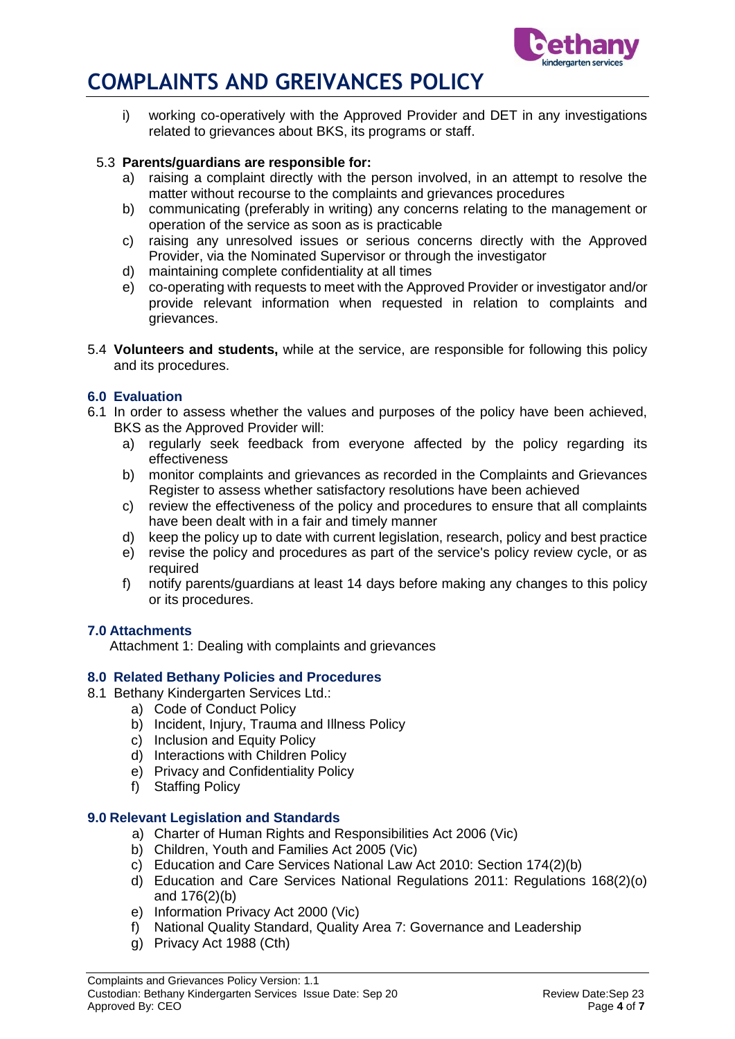

i) working co-operatively with the Approved Provider and DET in any investigations related to grievances about BKS, its programs or staff.

#### 5.3 **Parents/guardians are responsible for:**

- a) raising a complaint directly with the person involved, in an attempt to resolve the matter without recourse to the complaints and grievances procedures
- b) communicating (preferably in writing) any concerns relating to the management or operation of the service as soon as is practicable
- c) raising any unresolved issues or serious concerns directly with the Approved Provider, via the Nominated Supervisor or through the investigator
- d) maintaining complete confidentiality at all times
- e) co-operating with requests to meet with the Approved Provider or investigator and/or provide relevant information when requested in relation to complaints and grievances.
- 5.4 **Volunteers and students,** while at the service, are responsible for following this policy and its procedures.

### **6.0 Evaluation**

- 6.1 In order to assess whether the values and purposes of the policy have been achieved, BKS as the Approved Provider will:
	- a) regularly seek feedback from everyone affected by the policy regarding its effectiveness
	- b) monitor complaints and grievances as recorded in the Complaints and Grievances Register to assess whether satisfactory resolutions have been achieved
	- c) review the effectiveness of the policy and procedures to ensure that all complaints have been dealt with in a fair and timely manner
	- d) keep the policy up to date with current legislation, research, policy and best practice
	- e) revise the policy and procedures as part of the service's policy review cycle, or as required
	- f) notify parents/guardians at least 14 days before making any changes to this policy or its procedures.

#### **7.0 Attachments**

Attachment 1: Dealing with complaints and grievances

#### **8.0 Related Bethany Policies and Procedures**

- 8.1 Bethany Kindergarten Services Ltd.:
	- a) Code of Conduct Policy
	- b) Incident, Injury, Trauma and Illness Policy
	- c) Inclusion and Equity Policy
	- d) Interactions with Children Policy
	- e) Privacy and Confidentiality Policy
	- f) Staffing Policy

#### **9.0 Relevant Legislation and Standards**

- a) Charter of Human Rights and Responsibilities Act 2006 (Vic)
- b) Children, Youth and Families Act 2005 (Vic)
- c) Education and Care Services National Law Act 2010: Section 174(2)(b)
- d) Education and Care Services National Regulations 2011: Regulations 168(2)(o) and 176(2)(b)
- e) Information Privacy Act 2000 (Vic)
- f) National Quality Standard, Quality Area 7: Governance and Leadership
- g) Privacy Act 1988 (Cth)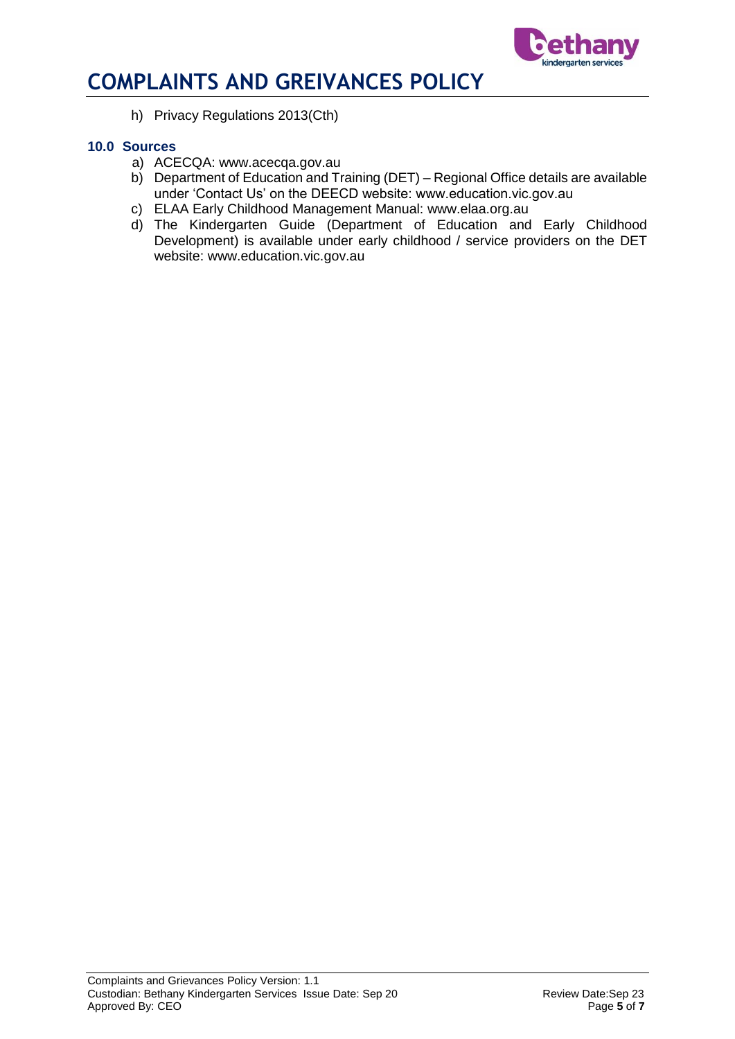

h) Privacy Regulations 2013(Cth)

#### **10.0 Sources**

- a) ACECQA: www.acecqa.gov.au
- b) Department of Education and Training (DET) Regional Office details are available under 'Contact Us' on the DEECD website: www.education.vic.gov.au
- c) ELAA Early Childhood Management Manual: www.elaa.org.au
- d) The Kindergarten Guide (Department of Education and Early Childhood Development) is available under early childhood / service providers on the DET website: www.education.vic.gov.au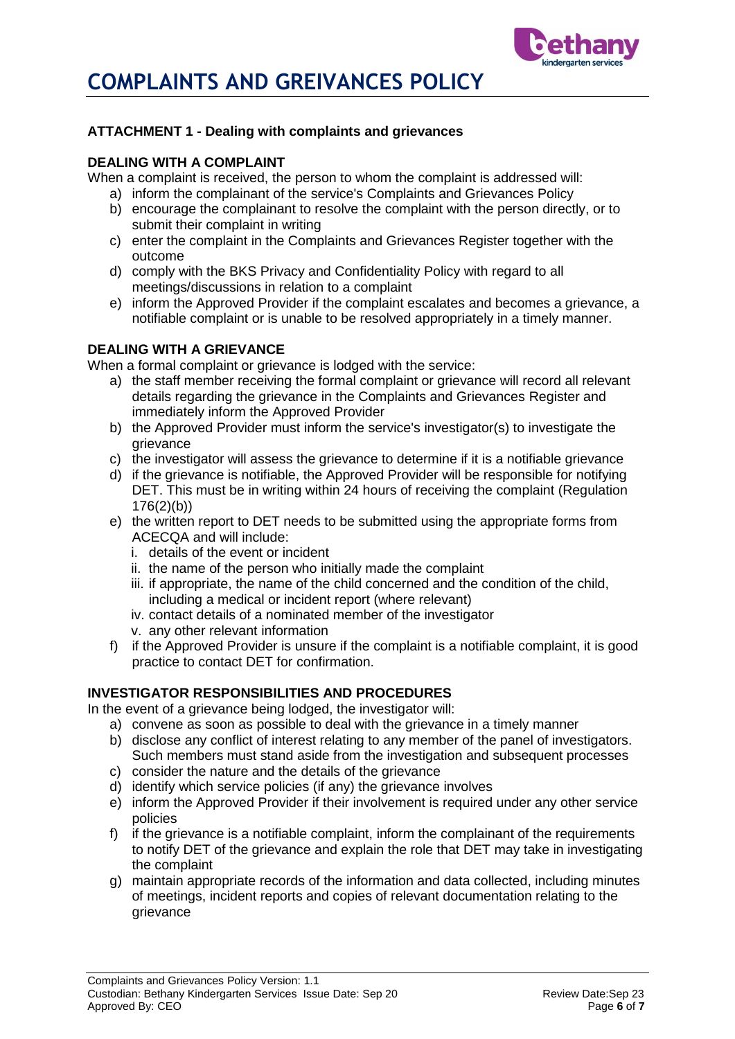

## **ATTACHMENT 1 - Dealing with complaints and grievances**

#### **DEALING WITH A COMPLAINT**

When a complaint is received, the person to whom the complaint is addressed will:

- a) inform the complainant of the service's Complaints and Grievances Policy
- b) encourage the complainant to resolve the complaint with the person directly, or to submit their complaint in writing
- c) enter the complaint in the Complaints and Grievances Register together with the outcome
- d) comply with the BKS Privacy and Confidentiality Policy with regard to all meetings/discussions in relation to a complaint
- e) inform the Approved Provider if the complaint escalates and becomes a grievance, a notifiable complaint or is unable to be resolved appropriately in a timely manner.

## **DEALING WITH A GRIEVANCE**

When a formal complaint or grievance is lodged with the service:

- a) the staff member receiving the formal complaint or grievance will record all relevant details regarding the grievance in the Complaints and Grievances Register and immediately inform the Approved Provider
- b) the Approved Provider must inform the service's investigator(s) to investigate the grievance
- c) the investigator will assess the grievance to determine if it is a notifiable grievance
- d) if the grievance is notifiable, the Approved Provider will be responsible for notifying DET. This must be in writing within 24 hours of receiving the complaint (Regulation 176(2)(b))
- e) the written report to DET needs to be submitted using the appropriate forms from ACECQA and will include:
	- i. details of the event or incident
	- ii. the name of the person who initially made the complaint
	- iii. if appropriate, the name of the child concerned and the condition of the child, including a medical or incident report (where relevant)
	- iv. contact details of a nominated member of the investigator
	- v. any other relevant information
- f) if the Approved Provider is unsure if the complaint is a notifiable complaint, it is good practice to contact DET for confirmation.

## **INVESTIGATOR RESPONSIBILITIES AND PROCEDURES**

In the event of a grievance being lodged, the investigator will:

- a) convene as soon as possible to deal with the grievance in a timely manner
- b) disclose any conflict of interest relating to any member of the panel of investigators. Such members must stand aside from the investigation and subsequent processes
- c) consider the nature and the details of the grievance
- d) identify which service policies (if any) the grievance involves
- e) inform the Approved Provider if their involvement is required under any other service policies
- f) if the grievance is a notifiable complaint, inform the complainant of the requirements to notify DET of the grievance and explain the role that DET may take in investigating the complaint
- g) maintain appropriate records of the information and data collected, including minutes of meetings, incident reports and copies of relevant documentation relating to the grievance